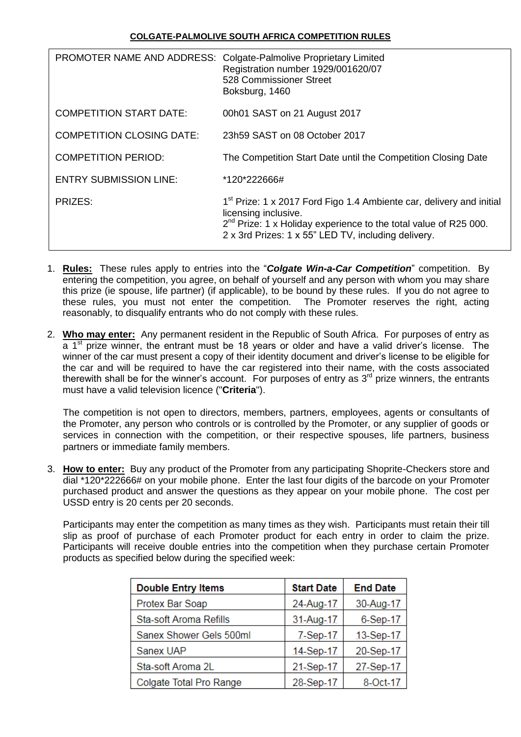## **COLGATE-PALMOLIVE SOUTH AFRICA COMPETITION RULES**

| PROMOTER NAME AND ADDRESS:       | Colgate-Palmolive Proprietary Limited<br>Registration number 1929/001620/07<br>528 Commissioner Street<br>Boksburg, 1460                                                                                                                        |  |
|----------------------------------|-------------------------------------------------------------------------------------------------------------------------------------------------------------------------------------------------------------------------------------------------|--|
| <b>COMPETITION START DATE:</b>   | 00h01 SAST on 21 August 2017                                                                                                                                                                                                                    |  |
| <b>COMPETITION CLOSING DATE:</b> | 23h59 SAST on 08 October 2017                                                                                                                                                                                                                   |  |
| <b>COMPETITION PERIOD:</b>       | The Competition Start Date until the Competition Closing Date                                                                                                                                                                                   |  |
| <b>ENTRY SUBMISSION LINE:</b>    | *120*222666#                                                                                                                                                                                                                                    |  |
| PRIZES:                          | 1 <sup>st</sup> Prize: 1 x 2017 Ford Figo 1.4 Ambiente car, delivery and initial<br>licensing inclusive.<br>2 <sup>nd</sup> Prize: 1 x Holiday experience to the total value of R25 000.<br>2 x 3rd Prizes: 1 x 55" LED TV, including delivery. |  |

- 1. **Rules:** These rules apply to entries into the "*Colgate Win-a-Car Competition*" competition. By entering the competition, you agree, on behalf of yourself and any person with whom you may share this prize (ie spouse, life partner) (if applicable), to be bound by these rules. If you do not agree to these rules, you must not enter the competition. The Promoter reserves the right, acting reasonably, to disqualify entrants who do not comply with these rules.
- 2. **Who may enter:** Any permanent resident in the Republic of South Africa. For purposes of entry as a  $1<sup>st</sup>$  prize winner, the entrant must be 18 years or older and have a valid driver's license. The winner of the car must present a copy of their identity document and driver"s license to be eligible for the car and will be required to have the car registered into their name, with the costs associated therewith shall be for the winner's account. For purposes of entry as  $3<sup>rd</sup>$  prize winners, the entrants must have a valid television licence ("**Criteria**").

The competition is not open to directors, members, partners, employees, agents or consultants of the Promoter, any person who controls or is controlled by the Promoter, or any supplier of goods or services in connection with the competition, or their respective spouses, life partners, business partners or immediate family members.

3. **How to enter:** Buy any product of the Promoter from any participating Shoprite-Checkers store and dial \*120\*222666# on your mobile phone. Enter the last four digits of the barcode on your Promoter purchased product and answer the questions as they appear on your mobile phone. The cost per USSD entry is 20 cents per 20 seconds.

Participants may enter the competition as many times as they wish. Participants must retain their till slip as proof of purchase of each Promoter product for each entry in order to claim the prize. Participants will receive double entries into the competition when they purchase certain Promoter products as specified below during the specified week:

| <b>Double Entry Items</b>     | <b>Start Date</b> | <b>End Date</b> |
|-------------------------------|-------------------|-----------------|
| Protex Bar Soap               | 24-Aug-17         | 30-Aug-17       |
| <b>Sta-soft Aroma Refills</b> | 31-Aug-17         | 6-Sep-17        |
| Sanex Shower Gels 500ml       | 7-Sep-17          | 13-Sep-17       |
| Sanex UAP                     | 14-Sep-17         | 20-Sep-17       |
| Sta-soft Aroma 2L             | 21-Sep-17         | 27-Sep-17       |
| Colgate Total Pro Range       | 28-Sep-17         | 8-Oct-17        |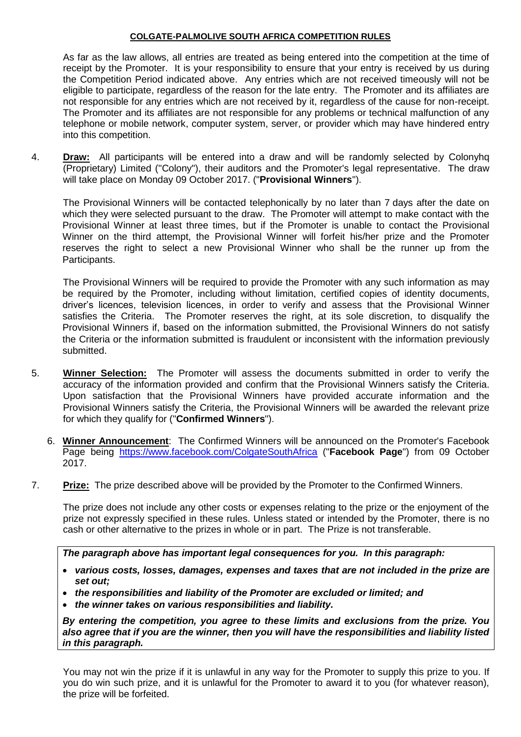## **COLGATE-PALMOLIVE SOUTH AFRICA COMPETITION RULES**

As far as the law allows, all entries are treated as being entered into the competition at the time of receipt by the Promoter. It is your responsibility to ensure that your entry is received by us during the Competition Period indicated above. Any entries which are not received timeously will not be eligible to participate, regardless of the reason for the late entry. The Promoter and its affiliates are not responsible for any entries which are not received by it, regardless of the cause for non-receipt. The Promoter and its affiliates are not responsible for any problems or technical malfunction of any telephone or mobile network, computer system, server, or provider which may have hindered entry into this competition.

4. **Draw:** All participants will be entered into a draw and will be randomly selected by Colonyhq (Proprietary) Limited ("Colony"), their auditors and the Promoter's legal representative. The draw will take place on Monday 09 October 2017. ("**Provisional Winners**").

The Provisional Winners will be contacted telephonically by no later than 7 days after the date on which they were selected pursuant to the draw. The Promoter will attempt to make contact with the Provisional Winner at least three times, but if the Promoter is unable to contact the Provisional Winner on the third attempt, the Provisional Winner will forfeit his/her prize and the Promoter reserves the right to select a new Provisional Winner who shall be the runner up from the Participants.

The Provisional Winners will be required to provide the Promoter with any such information as may be required by the Promoter, including without limitation, certified copies of identity documents, driver"s licences, television licences, in order to verify and assess that the Provisional Winner satisfies the Criteria. The Promoter reserves the right, at its sole discretion, to disqualify the Provisional Winners if, based on the information submitted, the Provisional Winners do not satisfy the Criteria or the information submitted is fraudulent or inconsistent with the information previously submitted.

- 5. **Winner Selection:** The Promoter will assess the documents submitted in order to verify the accuracy of the information provided and confirm that the Provisional Winners satisfy the Criteria. Upon satisfaction that the Provisional Winners have provided accurate information and the Provisional Winners satisfy the Criteria, the Provisional Winners will be awarded the relevant prize for which they qualify for ("**Confirmed Winners**").
	- 6. **Winner Announcement**: The Confirmed Winners will be announced on the Promoter's Facebook Page being <https://www.facebook.com/ColgateSouthAfrica> ("**Facebook Page**") from 09 October 2017.
- 7. **Prize:** The prize described above will be provided by the Promoter to the Confirmed Winners.

The prize does not include any other costs or expenses relating to the prize or the enjoyment of the prize not expressly specified in these rules. Unless stated or intended by the Promoter, there is no cash or other alternative to the prizes in whole or in part. The Prize is not transferable.

*The paragraph above has important legal consequences for you. In this paragraph:*

- *various costs, losses, damages, expenses and taxes that are not included in the prize are set out;*
- *the responsibilities and liability of the Promoter are excluded or limited; and*
- *the winner takes on various responsibilities and liability.*

*By entering the competition, you agree to these limits and exclusions from the prize. You also agree that if you are the winner, then you will have the responsibilities and liability listed in this paragraph.*

You may not win the prize if it is unlawful in any way for the Promoter to supply this prize to you. If you do win such prize, and it is unlawful for the Promoter to award it to you (for whatever reason), the prize will be forfeited.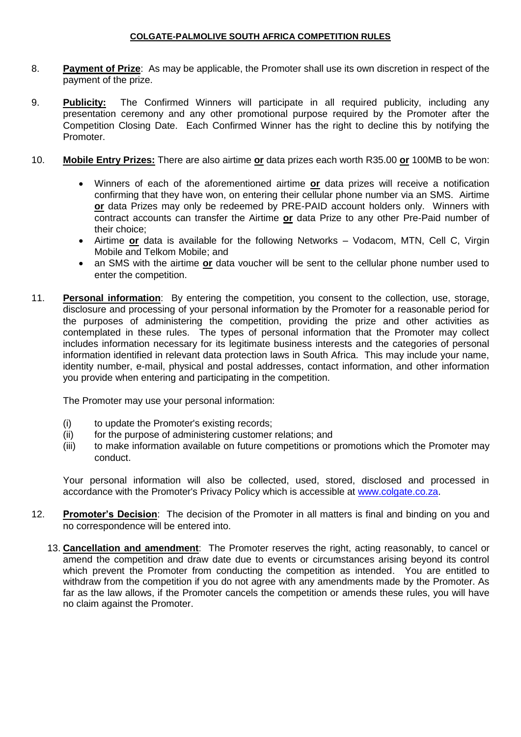## **COLGATE-PALMOLIVE SOUTH AFRICA COMPETITION RULES**

- 8. **Payment of Prize**: As may be applicable, the Promoter shall use its own discretion in respect of the payment of the prize.
- 9. **Publicity:** The Confirmed Winners will participate in all required publicity, including any presentation ceremony and any other promotional purpose required by the Promoter after the Competition Closing Date. Each Confirmed Winner has the right to decline this by notifying the Promoter.
- 10. **Mobile Entry Prizes:** There are also airtime **or** data prizes each worth R35.00 **or** 100MB to be won:
	- Winners of each of the aforementioned airtime **or** data prizes will receive a notification confirming that they have won, on entering their cellular phone number via an SMS. Airtime **or** data Prizes may only be redeemed by PRE-PAID account holders only. Winners with contract accounts can transfer the Airtime **or** data Prize to any other Pre-Paid number of their choice;
	- Airtime **or** data is available for the following Networks Vodacom, MTN, Cell C, Virgin Mobile and Telkom Mobile; and
	- an SMS with the airtime **or** data voucher will be sent to the cellular phone number used to enter the competition.
- 11. **Personal information**: By entering the competition, you consent to the collection, use, storage, disclosure and processing of your personal information by the Promoter for a reasonable period for the purposes of administering the competition, providing the prize and other activities as contemplated in these rules. The types of personal information that the Promoter may collect includes information necessary for its legitimate business interests and the categories of personal information identified in relevant data protection laws in South Africa. This may include your name, identity number, e-mail, physical and postal addresses, contact information, and other information you provide when entering and participating in the competition.

The Promoter may use your personal information:

- (i) to update the Promoter's existing records;
- (ii) for the purpose of administering customer relations; and
- (iii) to make information available on future competitions or promotions which the Promoter may conduct.

Your personal information will also be collected, used, stored, disclosed and processed in accordance with the Promoter's Privacy Policy which is accessible at [www.colgate.co.za.](http://www.colgate.co.za/)

- 12. **Promoter's Decision**: The decision of the Promoter in all matters is final and binding on you and no correspondence will be entered into.
	- 13. **Cancellation and amendment**: The Promoter reserves the right, acting reasonably, to cancel or amend the competition and draw date due to events or circumstances arising beyond its control which prevent the Promoter from conducting the competition as intended. You are entitled to withdraw from the competition if you do not agree with any amendments made by the Promoter. As far as the law allows, if the Promoter cancels the competition or amends these rules, you will have no claim against the Promoter.